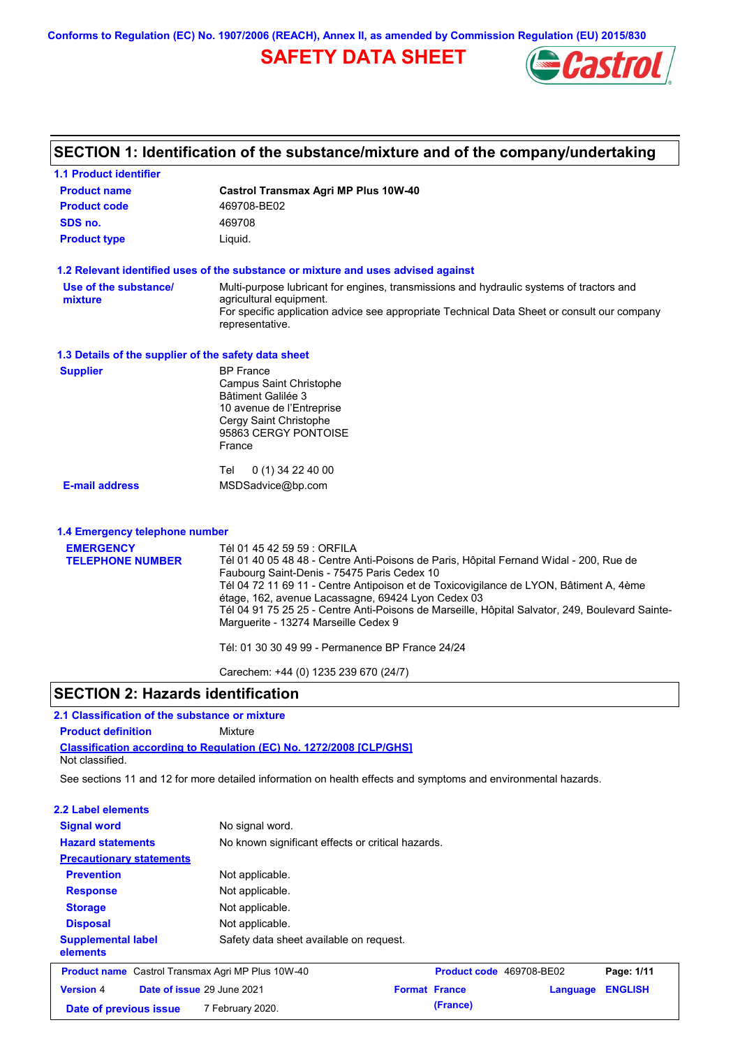**Conforms to Regulation (EC) No. 1907/2006 (REACH), Annex II, as amended by Commission Regulation (EU) 2015/830**

## **SAFETY DATA SHEET**



# **SECTION 1: Identification of the substance/mixture and of the company/undertaking**

| <b>1.1 Product identifier</b>                                               |                                                                                                                                                                                                                                                                                                                                                                                                                                                                                      |
|-----------------------------------------------------------------------------|--------------------------------------------------------------------------------------------------------------------------------------------------------------------------------------------------------------------------------------------------------------------------------------------------------------------------------------------------------------------------------------------------------------------------------------------------------------------------------------|
| <b>Product name</b>                                                         | <b>Castrol Transmax Agri MP Plus 10W-40</b>                                                                                                                                                                                                                                                                                                                                                                                                                                          |
| <b>Product code</b>                                                         | 469708-BE02                                                                                                                                                                                                                                                                                                                                                                                                                                                                          |
| SDS no.                                                                     | 469708                                                                                                                                                                                                                                                                                                                                                                                                                                                                               |
| <b>Product type</b>                                                         | Liquid.                                                                                                                                                                                                                                                                                                                                                                                                                                                                              |
|                                                                             | 1.2 Relevant identified uses of the substance or mixture and uses advised against                                                                                                                                                                                                                                                                                                                                                                                                    |
| Use of the substance/<br>mixture                                            | Multi-purpose lubricant for engines, transmissions and hydraulic systems of tractors and<br>agricultural equipment.<br>For specific application advice see appropriate Technical Data Sheet or consult our company<br>representative.                                                                                                                                                                                                                                                |
| 1.3 Details of the supplier of the safety data sheet                        |                                                                                                                                                                                                                                                                                                                                                                                                                                                                                      |
| <b>Supplier</b>                                                             | <b>BP</b> France<br>Campus Saint Christophe<br>Bâtiment Galilée 3<br>10 avenue de l'Entreprise<br>Cergy Saint Christophe<br>95863 CERGY PONTOISE<br>France                                                                                                                                                                                                                                                                                                                           |
|                                                                             | 0 (1) 34 22 40 00<br>Tel                                                                                                                                                                                                                                                                                                                                                                                                                                                             |
| <b>E-mail address</b>                                                       | MSDSadvice@bp.com                                                                                                                                                                                                                                                                                                                                                                                                                                                                    |
| 1.4 Emergency telephone number                                              |                                                                                                                                                                                                                                                                                                                                                                                                                                                                                      |
| <b>EMERGENCY</b>                                                            | Tél 01 45 42 59 59 : ORFILA                                                                                                                                                                                                                                                                                                                                                                                                                                                          |
| <b>TELEPHONE NUMBER</b>                                                     | Tél 01 40 05 48 48 - Centre Anti-Poisons de Paris, Hôpital Fernand Widal - 200, Rue de<br>Faubourg Saint-Denis - 75475 Paris Cedex 10<br>Tél 04 72 11 69 11 - Centre Antipoison et de Toxicovigilance de LYON, Bâtiment A, 4ème<br>étage, 162, avenue Lacassagne, 69424 Lyon Cedex 03<br>Tél 04 91 75 25 25 - Centre Anti-Poisons de Marseille, Hôpital Salvator, 249, Boulevard Sainte-<br>Marguerite - 13274 Marseille Cedex 9<br>Tél: 01 30 30 49 99 - Permanence BP France 24/24 |
|                                                                             | Carechem: +44 (0) 1235 239 670 (24/7)                                                                                                                                                                                                                                                                                                                                                                                                                                                |
| <b>SECTION 2: Hazards identification</b>                                    |                                                                                                                                                                                                                                                                                                                                                                                                                                                                                      |
|                                                                             |                                                                                                                                                                                                                                                                                                                                                                                                                                                                                      |
| 2.1 Classification of the substance or mixture<br><b>Product definition</b> | Mixture                                                                                                                                                                                                                                                                                                                                                                                                                                                                              |
|                                                                             |                                                                                                                                                                                                                                                                                                                                                                                                                                                                                      |
| Not classified.                                                             | <b>Classification according to Regulation (EC) No. 1272/2008 [CLP/GHS]</b>                                                                                                                                                                                                                                                                                                                                                                                                           |
|                                                                             | See sections 11 and 12 for more detailed information on health effects and symptoms and environmental hazards.                                                                                                                                                                                                                                                                                                                                                                       |
| 2.2 Label elements                                                          |                                                                                                                                                                                                                                                                                                                                                                                                                                                                                      |

| <b>Signal word</b>                                       | No signal word.                                   |                      |                          |                |
|----------------------------------------------------------|---------------------------------------------------|----------------------|--------------------------|----------------|
| <b>Hazard statements</b>                                 | No known significant effects or critical hazards. |                      |                          |                |
| <b>Precautionary statements</b>                          |                                                   |                      |                          |                |
| <b>Prevention</b>                                        | Not applicable.                                   |                      |                          |                |
| <b>Response</b>                                          | Not applicable.                                   |                      |                          |                |
| <b>Storage</b>                                           | Not applicable.                                   |                      |                          |                |
| <b>Disposal</b>                                          | Not applicable.                                   |                      |                          |                |
| <b>Supplemental label</b><br>elements                    | Safety data sheet available on request.           |                      |                          |                |
| <b>Product name</b> Castrol Transmax Agri MP Plus 10W-40 |                                                   |                      | Product code 469708-BE02 | Page: 1/11     |
| Date of issue 29 June 2021<br><b>Version 4</b>           |                                                   | <b>Format France</b> | Language                 | <b>ENGLISH</b> |
| Date of previous issue                                   | 7 February 2020.                                  | (France)             |                          |                |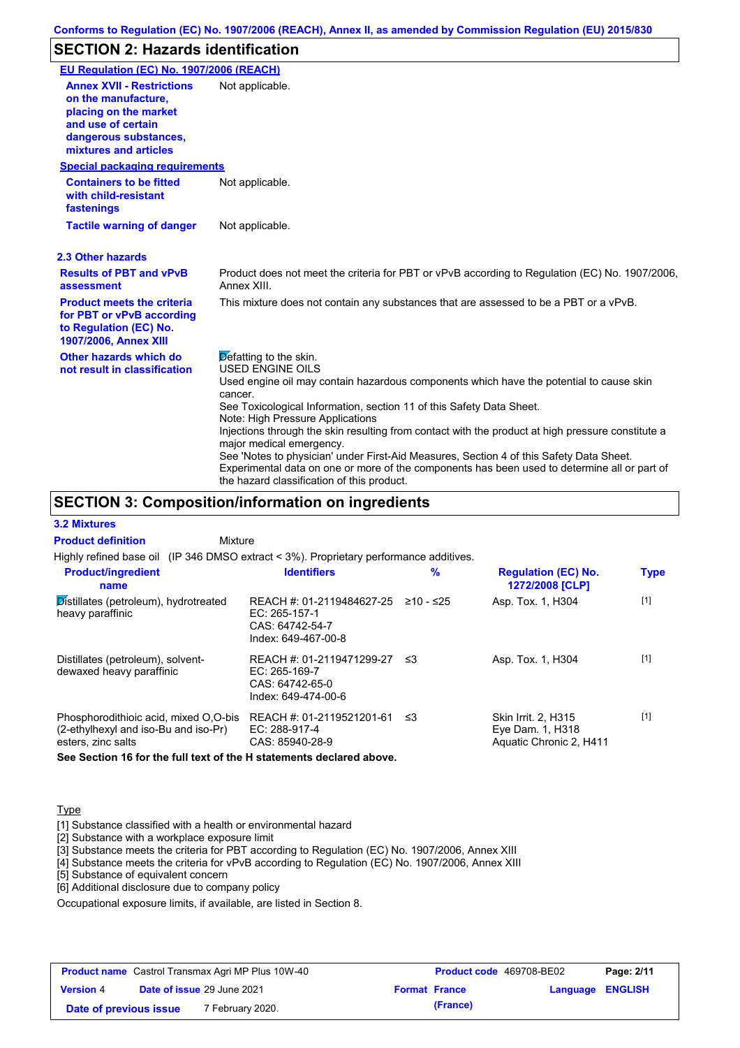## **SECTION 2: Hazards identification**

| EU Regulation (EC) No. 1907/2006 (REACH)                                                                                                                 |                                                                                                                                                                                                                                                                                                                                                                                                                                                                                                                                                                                                                                               |
|----------------------------------------------------------------------------------------------------------------------------------------------------------|-----------------------------------------------------------------------------------------------------------------------------------------------------------------------------------------------------------------------------------------------------------------------------------------------------------------------------------------------------------------------------------------------------------------------------------------------------------------------------------------------------------------------------------------------------------------------------------------------------------------------------------------------|
| <b>Annex XVII - Restrictions</b><br>on the manufacture.<br>placing on the market<br>and use of certain<br>dangerous substances,<br>mixtures and articles | Not applicable.                                                                                                                                                                                                                                                                                                                                                                                                                                                                                                                                                                                                                               |
| <b>Special packaging requirements</b>                                                                                                                    |                                                                                                                                                                                                                                                                                                                                                                                                                                                                                                                                                                                                                                               |
| <b>Containers to be fitted</b><br>with child-resistant<br>fastenings                                                                                     | Not applicable.                                                                                                                                                                                                                                                                                                                                                                                                                                                                                                                                                                                                                               |
| <b>Tactile warning of danger</b>                                                                                                                         | Not applicable.                                                                                                                                                                                                                                                                                                                                                                                                                                                                                                                                                                                                                               |
| 2.3 Other hazards                                                                                                                                        |                                                                                                                                                                                                                                                                                                                                                                                                                                                                                                                                                                                                                                               |
| <b>Results of PBT and vPvB</b><br>assessment                                                                                                             | Product does not meet the criteria for PBT or vPvB according to Regulation (EC) No. 1907/2006,<br>Annex XIII.                                                                                                                                                                                                                                                                                                                                                                                                                                                                                                                                 |
| <b>Product meets the criteria</b><br>for PBT or vPvB according<br>to Regulation (EC) No.<br>1907/2006, Annex XIII                                        | This mixture does not contain any substances that are assessed to be a PBT or a vPvB.                                                                                                                                                                                                                                                                                                                                                                                                                                                                                                                                                         |
| Other hazards which do<br>not result in classification                                                                                                   | Defatting to the skin.<br><b>USED ENGINE OILS</b><br>Used engine oil may contain hazardous components which have the potential to cause skin<br>cancer.<br>See Toxicological Information, section 11 of this Safety Data Sheet.<br>Note: High Pressure Applications<br>Injections through the skin resulting from contact with the product at high pressure constitute a<br>major medical emergency.<br>See 'Notes to physician' under First-Aid Measures, Section 4 of this Safety Data Sheet.<br>Experimental data on one or more of the components has been used to determine all or part of<br>the hazard classification of this product. |

### **SECTION 3: Composition/information on ingredients**

**Mixture** 

**Product definition**

**3.2 Mixtures**

Highly refined base oil (IP 346 DMSO extract < 3%). Proprietary performance additives.

| <b>Product/ingredient</b><br>name                                                                   | <b>Identifiers</b>                                                                   | $\%$      | <b>Regulation (EC) No.</b><br>1272/2008 [CLP]                             | <b>Type</b> |
|-----------------------------------------------------------------------------------------------------|--------------------------------------------------------------------------------------|-----------|---------------------------------------------------------------------------|-------------|
| Distillates (petroleum), hydrotreated<br>heavy paraffinic                                           | REACH #: 01-2119484627-25<br>EC: 265-157-1<br>CAS: 64742-54-7<br>Index: 649-467-00-8 | ≥10 - ≤25 | Asp. Tox. 1, H304                                                         | $[1]$       |
| Distillates (petroleum), solvent-<br>dewaxed heavy paraffinic                                       | REACH #: 01-2119471299-27<br>EC: 265-169-7<br>CAS: 64742-65-0<br>Index: 649-474-00-6 | -≤3       | Asp. Tox. 1, H304                                                         | $[1]$       |
| Phosphorodithioic acid, mixed O.O-bis<br>(2-ethylhexyl and iso-Bu and iso-Pr)<br>esters, zinc salts | REACH #: 01-2119521201-61<br>EC: 288-917-4<br>CAS: 85940-28-9                        | ≤3        | <b>Skin Irrit. 2. H315</b><br>Eye Dam. 1, H318<br>Aquatic Chronic 2, H411 | $[1]$       |

**See Section 16 for the full text of the H statements declared above.**

#### **Type**

[1] Substance classified with a health or environmental hazard

[2] Substance with a workplace exposure limit

[3] Substance meets the criteria for PBT according to Regulation (EC) No. 1907/2006, Annex XIII

[4] Substance meets the criteria for vPvB according to Regulation (EC) No. 1907/2006, Annex XIII

[5] Substance of equivalent concern

[6] Additional disclosure due to company policy

Occupational exposure limits, if available, are listed in Section 8.

| <b>Product name</b> Castrol Transmax Agri MP Plus 10W-40 |                            | <b>Product code</b> 469708-BE02 |                      | Page: 2/11 |                         |  |
|----------------------------------------------------------|----------------------------|---------------------------------|----------------------|------------|-------------------------|--|
| <b>Version 4</b>                                         | Date of issue 29 June 2021 |                                 | <b>Format France</b> |            | <b>Language ENGLISH</b> |  |
| Date of previous issue                                   |                            | 7 February 2020.                |                      | (France)   |                         |  |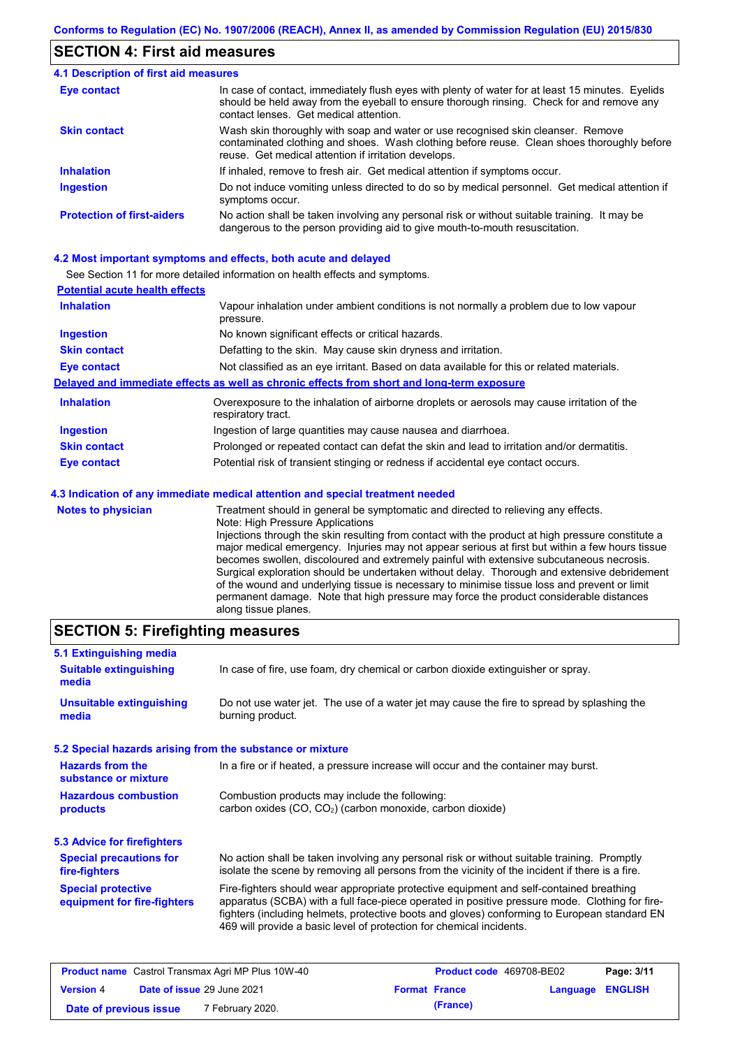#### **SECTION 4: First aid measures**

#### Do not induce vomiting unless directed to do so by medical personnel. Get medical attention if symptoms occur. In case of contact, immediately flush eyes with plenty of water for at least 15 minutes. Eyelids should be held away from the eyeball to ensure thorough rinsing. Check for and remove any contact lenses. Get medical attention. **4.1 Description of first aid measures** If inhaled, remove to fresh air. Get medical attention if symptoms occur. **Ingestion Inhalation Eye contact Protection of first-aiders** No action shall be taken involving any personal risk or without suitable training. It may be dangerous to the person providing aid to give mouth-to-mouth resuscitation. **Skin contact** Wash skin thoroughly with soap and water or use recognised skin cleanser. Remove contaminated clothing and shoes. Wash clothing before reuse. Clean shoes thoroughly before reuse. Get medical attention if irritation develops.

#### **4.2 Most important symptoms and effects, both acute and delayed**

See Section 11 for more detailed information on health effects and symptoms.

| <b>Potential acute health effects</b> |                                                                                                                   |
|---------------------------------------|-------------------------------------------------------------------------------------------------------------------|
| <b>Inhalation</b>                     | Vapour inhalation under ambient conditions is not normally a problem due to low vapour<br>pressure.               |
| <b>Ingestion</b>                      | No known significant effects or critical hazards.                                                                 |
| <b>Skin contact</b>                   | Defatting to the skin. May cause skin dryness and irritation.                                                     |
| <b>Eye contact</b>                    | Not classified as an eye irritant. Based on data available for this or related materials.                         |
|                                       | Delayed and immediate effects as well as chronic effects from short and long-term exposure                        |
| <b>Inhalation</b>                     | Overexposure to the inhalation of airborne droplets or aerosols may cause irritation of the<br>respiratory tract. |
| <b>Ingestion</b>                      | Ingestion of large quantities may cause nausea and diarrhoea.                                                     |
| <b>Skin contact</b>                   | Prolonged or repeated contact can defat the skin and lead to irritation and/or dermatitis.                        |
| Eye contact                           | Potential risk of transient stinging or redness if accidental eye contact occurs.                                 |
|                                       | 4.3 Indication of any immediate medical attention and special treatment needed                                    |
| Notes to physician                    | Treatment should in general he symptomatic and directed to relieving any effects                                  |

| <b>Notes to physician</b> | Treatment should in general be symptomatic and directed to relieving any effects.                 |
|---------------------------|---------------------------------------------------------------------------------------------------|
|                           | Note: High Pressure Applications                                                                  |
|                           | Injections through the skin resulting from contact with the product at high pressure constitute a |
|                           | major medical emergency. Injuries may not appear serious at first but within a few hours tissue   |
|                           | becomes swollen, discoloured and extremely painful with extensive subcutaneous necrosis.          |
|                           | Surgical exploration should be undertaken without delay. Thorough and extensive debridement       |
|                           | of the wound and underlying tissue is necessary to minimise tissue loss and prevent or limit      |
|                           | permanent damage. Note that high pressure may force the product considerable distances            |
|                           | along tissue planes.                                                                              |

### **SECTION 5: Firefighting measures**

| 5.1 Extinguishing media                                   |                                                                                                                                                                                                                                                                                                                                                                   |
|-----------------------------------------------------------|-------------------------------------------------------------------------------------------------------------------------------------------------------------------------------------------------------------------------------------------------------------------------------------------------------------------------------------------------------------------|
| <b>Suitable extinguishing</b><br>media                    | In case of fire, use foam, dry chemical or carbon dioxide extinguisher or spray.                                                                                                                                                                                                                                                                                  |
| <b>Unsuitable extinguishing</b><br>media                  | Do not use water jet. The use of a water jet may cause the fire to spread by splashing the<br>burning product.                                                                                                                                                                                                                                                    |
| 5.2 Special hazards arising from the substance or mixture |                                                                                                                                                                                                                                                                                                                                                                   |
| <b>Hazards from the</b><br>substance or mixture           | In a fire or if heated, a pressure increase will occur and the container may burst.                                                                                                                                                                                                                                                                               |
| <b>Hazardous combustion</b><br>products                   | Combustion products may include the following:<br>carbon oxides (CO, CO <sub>2</sub> ) (carbon monoxide, carbon dioxide)                                                                                                                                                                                                                                          |
| 5.3 Advice for firefighters                               |                                                                                                                                                                                                                                                                                                                                                                   |
| <b>Special precautions for</b><br>fire-fighters           | No action shall be taken involving any personal risk or without suitable training. Promptly<br>isolate the scene by removing all persons from the vicinity of the incident if there is a fire.                                                                                                                                                                    |
| <b>Special protective</b><br>equipment for fire-fighters  | Fire-fighters should wear appropriate protective equipment and self-contained breathing<br>apparatus (SCBA) with a full face-piece operated in positive pressure mode. Clothing for fire-<br>fighters (including helmets, protective boots and gloves) conforming to European standard EN<br>469 will provide a basic level of protection for chemical incidents. |

| <b>Product name</b> Castrol Transmax Agri MP Plus 10W-40 |  | <b>Product code</b> 469708-BE02 |  | Page: 3/11       |  |  |
|----------------------------------------------------------|--|---------------------------------|--|------------------|--|--|
| Date of issue 29 June 2021<br><b>Version 4</b>           |  | <b>Format France</b>            |  | Language ENGLISH |  |  |
| Date of previous issue                                   |  | 7 February 2020.                |  | (France)         |  |  |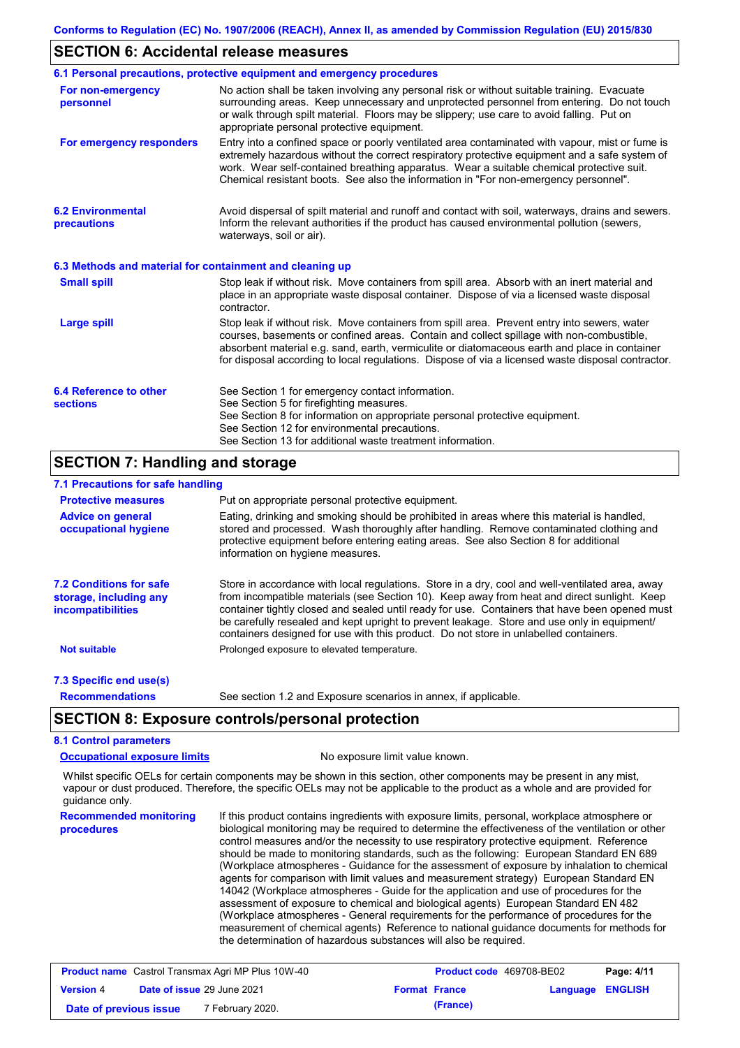#### **SECTION 6: Accidental release measures**

|                                                          | 6.1 Personal precautions, protective equipment and emergency procedures                                                                                                                                                                                                                                                                                                                        |
|----------------------------------------------------------|------------------------------------------------------------------------------------------------------------------------------------------------------------------------------------------------------------------------------------------------------------------------------------------------------------------------------------------------------------------------------------------------|
| For non-emergency<br>personnel                           | No action shall be taken involving any personal risk or without suitable training. Evacuate<br>surrounding areas. Keep unnecessary and unprotected personnel from entering. Do not touch<br>or walk through spilt material. Floors may be slippery; use care to avoid falling. Put on<br>appropriate personal protective equipment.                                                            |
| For emergency responders                                 | Entry into a confined space or poorly ventilated area contaminated with vapour, mist or fume is<br>extremely hazardous without the correct respiratory protective equipment and a safe system of<br>work. Wear self-contained breathing apparatus. Wear a suitable chemical protective suit.<br>Chemical resistant boots. See also the information in "For non-emergency personnel".           |
| <b>6.2 Environmental</b><br>precautions                  | Avoid dispersal of spilt material and runoff and contact with soil, waterways, drains and sewers.<br>Inform the relevant authorities if the product has caused environmental pollution (sewers,<br>waterways, soil or air).                                                                                                                                                                    |
| 6.3 Methods and material for containment and cleaning up |                                                                                                                                                                                                                                                                                                                                                                                                |
| <b>Small spill</b>                                       | Stop leak if without risk. Move containers from spill area. Absorb with an inert material and<br>place in an appropriate waste disposal container. Dispose of via a licensed waste disposal<br>contractor.                                                                                                                                                                                     |
| <b>Large spill</b>                                       | Stop leak if without risk. Move containers from spill area. Prevent entry into sewers, water<br>courses, basements or confined areas. Contain and collect spillage with non-combustible,<br>absorbent material e.g. sand, earth, vermiculite or diatomaceous earth and place in container<br>for disposal according to local regulations. Dispose of via a licensed waste disposal contractor. |
| 6.4 Reference to other<br><b>sections</b>                | See Section 1 for emergency contact information.<br>See Section 5 for firefighting measures.<br>See Section 8 for information on appropriate personal protective equipment.<br>See Section 12 for environmental precautions.<br>See Section 13 for additional waste treatment information.                                                                                                     |

### **SECTION 7: Handling and storage**

### **7.1 Precautions for safe handling**

| <b>Protective measures</b>                                                    | Put on appropriate personal protective equipment.                                                                                                                                                                                                                                                                                                                                                                                                                                        |
|-------------------------------------------------------------------------------|------------------------------------------------------------------------------------------------------------------------------------------------------------------------------------------------------------------------------------------------------------------------------------------------------------------------------------------------------------------------------------------------------------------------------------------------------------------------------------------|
| <b>Advice on general</b><br>occupational hygiene                              | Eating, drinking and smoking should be prohibited in areas where this material is handled,<br>stored and processed. Wash thoroughly after handling. Remove contaminated clothing and<br>protective equipment before entering eating areas. See also Section 8 for additional<br>information on hygiene measures.                                                                                                                                                                         |
| <b>7.2 Conditions for safe</b><br>storage, including any<br>incompatibilities | Store in accordance with local requiations. Store in a dry, cool and well-ventilated area, away<br>from incompatible materials (see Section 10). Keep away from heat and direct sunlight. Keep<br>container tightly closed and sealed until ready for use. Containers that have been opened must<br>be carefully resealed and kept upright to prevent leakage. Store and use only in equipment/<br>containers designed for use with this product. Do not store in unlabelled containers. |
| <b>Not suitable</b>                                                           | Prolonged exposure to elevated temperature.                                                                                                                                                                                                                                                                                                                                                                                                                                              |
| 7.3 Specific end use(s)                                                       |                                                                                                                                                                                                                                                                                                                                                                                                                                                                                          |
| <b>Recommendations</b>                                                        | See section 1.2 and Exposure scenarios in annex, if applicable.                                                                                                                                                                                                                                                                                                                                                                                                                          |

### **SECTION 8: Exposure controls/personal protection**

### **8.1 Control parameters**

**Occupational exposure limits** No exposure limit value known.

Whilst specific OELs for certain components may be shown in this section, other components may be present in any mist, vapour or dust produced. Therefore, the specific OELs may not be applicable to the product as a whole and are provided for guidance only.

**Recommended monitoring procedures** If this product contains ingredients with exposure limits, personal, workplace atmosphere or biological monitoring may be required to determine the effectiveness of the ventilation or other control measures and/or the necessity to use respiratory protective equipment. Reference should be made to monitoring standards, such as the following: European Standard EN 689 (Workplace atmospheres - Guidance for the assessment of exposure by inhalation to chemical agents for comparison with limit values and measurement strategy) European Standard EN 14042 (Workplace atmospheres - Guide for the application and use of procedures for the assessment of exposure to chemical and biological agents) European Standard EN 482 (Workplace atmospheres - General requirements for the performance of procedures for the measurement of chemical agents) Reference to national guidance documents for methods for the determination of hazardous substances will also be required.

| <b>Product name</b> Castrol Transmax Agri MP Plus 10W-40 |  | <b>Product code</b> 469708-BE02   |  | Page: 4/11           |                         |  |
|----------------------------------------------------------|--|-----------------------------------|--|----------------------|-------------------------|--|
| <b>Version 4</b>                                         |  | <b>Date of issue 29 June 2021</b> |  | <b>Format France</b> | <b>Language ENGLISH</b> |  |
| Date of previous issue                                   |  | 7 February 2020.                  |  | (France)             |                         |  |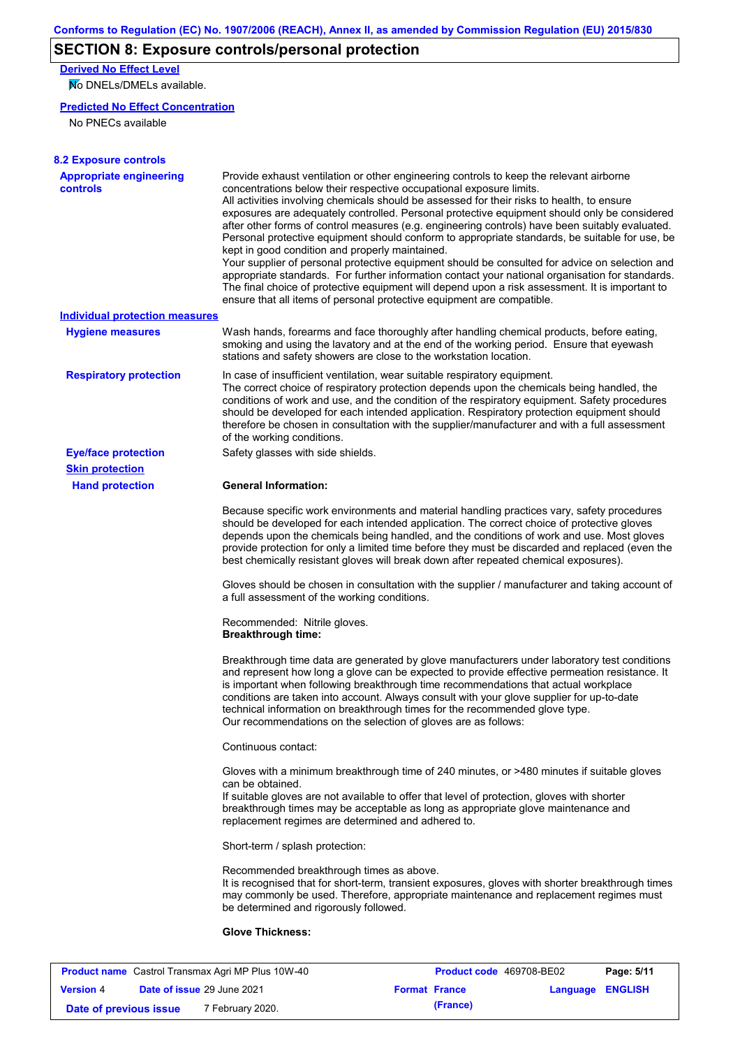## **SECTION 8: Exposure controls/personal protection**

**Derived No Effect Level**

No DNELs/DMELs available.

#### **Predicted No Effect Concentration**

No PNECs available

| <b>Appropriate engineering</b>        | Provide exhaust ventilation or other engineering controls to keep the relevant airborne                                                                                                                                                                                                                                                                                                                                                                                                                                                                                                                                                                                                                                                                                                                                                                                                                      |
|---------------------------------------|--------------------------------------------------------------------------------------------------------------------------------------------------------------------------------------------------------------------------------------------------------------------------------------------------------------------------------------------------------------------------------------------------------------------------------------------------------------------------------------------------------------------------------------------------------------------------------------------------------------------------------------------------------------------------------------------------------------------------------------------------------------------------------------------------------------------------------------------------------------------------------------------------------------|
| <b>controls</b>                       | concentrations below their respective occupational exposure limits.<br>All activities involving chemicals should be assessed for their risks to health, to ensure<br>exposures are adequately controlled. Personal protective equipment should only be considered<br>after other forms of control measures (e.g. engineering controls) have been suitably evaluated.<br>Personal protective equipment should conform to appropriate standards, be suitable for use, be<br>kept in good condition and properly maintained.<br>Your supplier of personal protective equipment should be consulted for advice on selection and<br>appropriate standards. For further information contact your national organisation for standards.<br>The final choice of protective equipment will depend upon a risk assessment. It is important to<br>ensure that all items of personal protective equipment are compatible. |
| <b>Individual protection measures</b> |                                                                                                                                                                                                                                                                                                                                                                                                                                                                                                                                                                                                                                                                                                                                                                                                                                                                                                              |
| <b>Hygiene measures</b>               | Wash hands, forearms and face thoroughly after handling chemical products, before eating,<br>smoking and using the lavatory and at the end of the working period. Ensure that eyewash<br>stations and safety showers are close to the workstation location.                                                                                                                                                                                                                                                                                                                                                                                                                                                                                                                                                                                                                                                  |
| <b>Respiratory protection</b>         | In case of insufficient ventilation, wear suitable respiratory equipment.<br>The correct choice of respiratory protection depends upon the chemicals being handled, the<br>conditions of work and use, and the condition of the respiratory equipment. Safety procedures<br>should be developed for each intended application. Respiratory protection equipment should<br>therefore be chosen in consultation with the supplier/manufacturer and with a full assessment<br>of the working conditions.                                                                                                                                                                                                                                                                                                                                                                                                        |
| <b>Eye/face protection</b>            | Safety glasses with side shields.                                                                                                                                                                                                                                                                                                                                                                                                                                                                                                                                                                                                                                                                                                                                                                                                                                                                            |
| <b>Skin protection</b>                |                                                                                                                                                                                                                                                                                                                                                                                                                                                                                                                                                                                                                                                                                                                                                                                                                                                                                                              |
| <b>Hand protection</b>                | <b>General Information:</b>                                                                                                                                                                                                                                                                                                                                                                                                                                                                                                                                                                                                                                                                                                                                                                                                                                                                                  |
|                                       | Because specific work environments and material handling practices vary, safety procedures<br>should be developed for each intended application. The correct choice of protective gloves<br>depends upon the chemicals being handled, and the conditions of work and use. Most gloves<br>provide protection for only a limited time before they must be discarded and replaced (even the<br>best chemically resistant gloves will break down after repeated chemical exposures).                                                                                                                                                                                                                                                                                                                                                                                                                             |
|                                       | Gloves should be chosen in consultation with the supplier / manufacturer and taking account of<br>a full assessment of the working conditions.                                                                                                                                                                                                                                                                                                                                                                                                                                                                                                                                                                                                                                                                                                                                                               |
|                                       | Recommended: Nitrile gloves.<br><b>Breakthrough time:</b>                                                                                                                                                                                                                                                                                                                                                                                                                                                                                                                                                                                                                                                                                                                                                                                                                                                    |
|                                       | Breakthrough time data are generated by glove manufacturers under laboratory test conditions<br>and represent how long a glove can be expected to provide effective permeation resistance. It<br>is important when following breakthrough time recommendations that actual workplace<br>conditions are taken into account. Always consult with your glove supplier for up-to-date<br>technical information on breakthrough times for the recommended glove type.<br>Our recommendations on the selection of gloves are as follows:                                                                                                                                                                                                                                                                                                                                                                           |
|                                       | Continuous contact:                                                                                                                                                                                                                                                                                                                                                                                                                                                                                                                                                                                                                                                                                                                                                                                                                                                                                          |
|                                       | Gloves with a minimum breakthrough time of 240 minutes, or >480 minutes if suitable gloves<br>can be obtained.<br>If suitable gloves are not available to offer that level of protection, gloves with shorter<br>breakthrough times may be acceptable as long as appropriate glove maintenance and<br>replacement regimes are determined and adhered to.                                                                                                                                                                                                                                                                                                                                                                                                                                                                                                                                                     |
|                                       | Short-term / splash protection:                                                                                                                                                                                                                                                                                                                                                                                                                                                                                                                                                                                                                                                                                                                                                                                                                                                                              |
|                                       | Recommended breakthrough times as above.<br>It is recognised that for short-term, transient exposures, gloves with shorter breakthrough times<br>may commonly be used. Therefore, appropriate maintenance and replacement regimes must<br>be determined and rigorously followed.                                                                                                                                                                                                                                                                                                                                                                                                                                                                                                                                                                                                                             |
|                                       |                                                                                                                                                                                                                                                                                                                                                                                                                                                                                                                                                                                                                                                                                                                                                                                                                                                                                                              |

|                        | <b>Product name</b> Castrol Transmax Agri MP Plus 10W-40 |                      | <b>Product code</b> 469708-BE02 |                         | Page: 5/11 |
|------------------------|----------------------------------------------------------|----------------------|---------------------------------|-------------------------|------------|
| <b>Version</b> 4       | <b>Date of issue 29 June 2021</b>                        | <b>Format France</b> |                                 | <b>Language ENGLISH</b> |            |
| Date of previous issue | 7 February 2020.                                         |                      | (France)                        |                         |            |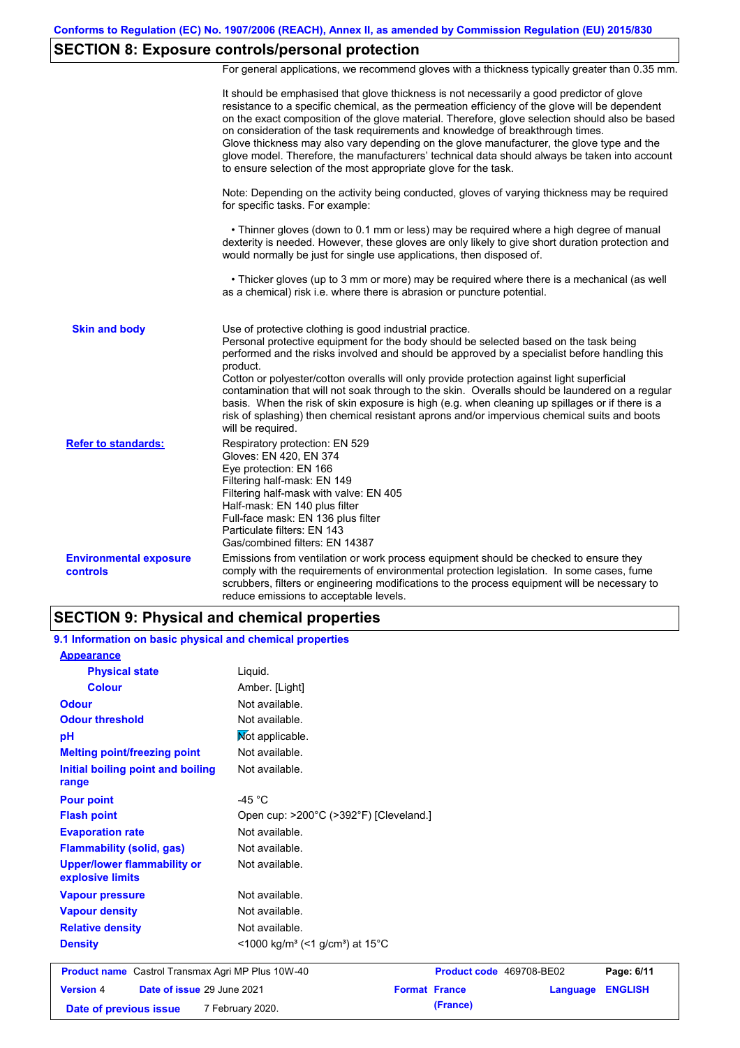## **SECTION 8: Exposure controls/personal protection**

For general applications, we recommend gloves with a thickness typically greater than 0.35 mm.

|                                           | It should be emphasised that glove thickness is not necessarily a good predictor of glove<br>resistance to a specific chemical, as the permeation efficiency of the glove will be dependent<br>on the exact composition of the glove material. Therefore, glove selection should also be based<br>on consideration of the task requirements and knowledge of breakthrough times.<br>Glove thickness may also vary depending on the glove manufacturer, the glove type and the<br>glove model. Therefore, the manufacturers' technical data should always be taken into account<br>to ensure selection of the most appropriate glove for the task.                                     |
|-------------------------------------------|---------------------------------------------------------------------------------------------------------------------------------------------------------------------------------------------------------------------------------------------------------------------------------------------------------------------------------------------------------------------------------------------------------------------------------------------------------------------------------------------------------------------------------------------------------------------------------------------------------------------------------------------------------------------------------------|
|                                           | Note: Depending on the activity being conducted, gloves of varying thickness may be required<br>for specific tasks. For example:                                                                                                                                                                                                                                                                                                                                                                                                                                                                                                                                                      |
|                                           | • Thinner gloves (down to 0.1 mm or less) may be required where a high degree of manual<br>dexterity is needed. However, these gloves are only likely to give short duration protection and<br>would normally be just for single use applications, then disposed of.                                                                                                                                                                                                                                                                                                                                                                                                                  |
|                                           | • Thicker gloves (up to 3 mm or more) may be required where there is a mechanical (as well<br>as a chemical) risk i.e. where there is abrasion or puncture potential.                                                                                                                                                                                                                                                                                                                                                                                                                                                                                                                 |
| <b>Skin and body</b>                      | Use of protective clothing is good industrial practice.<br>Personal protective equipment for the body should be selected based on the task being<br>performed and the risks involved and should be approved by a specialist before handling this<br>product.<br>Cotton or polyester/cotton overalls will only provide protection against light superficial<br>contamination that will not soak through to the skin. Overalls should be laundered on a regular<br>basis. When the risk of skin exposure is high (e.g. when cleaning up spillages or if there is a<br>risk of splashing) then chemical resistant aprons and/or impervious chemical suits and boots<br>will be required. |
| <b>Refer to standards:</b>                | Respiratory protection: EN 529<br>Gloves: EN 420, EN 374<br>Eye protection: EN 166<br>Filtering half-mask: EN 149<br>Filtering half-mask with valve: EN 405<br>Half-mask: EN 140 plus filter<br>Full-face mask: EN 136 plus filter<br>Particulate filters: EN 143<br>Gas/combined filters: EN 14387                                                                                                                                                                                                                                                                                                                                                                                   |
| <b>Environmental exposure</b><br>controls | Emissions from ventilation or work process equipment should be checked to ensure they<br>comply with the requirements of environmental protection legislation. In some cases, fume<br>scrubbers, filters or engineering modifications to the process equipment will be necessary to<br>reduce emissions to acceptable levels.                                                                                                                                                                                                                                                                                                                                                         |

### **SECTION 9: Physical and chemical properties**

| 9.1 Information on basic physical and chemical properties |                                                                      |                      |                          |          |                |
|-----------------------------------------------------------|----------------------------------------------------------------------|----------------------|--------------------------|----------|----------------|
| <b>Appearance</b>                                         |                                                                      |                      |                          |          |                |
| <b>Physical state</b>                                     | Liguid.                                                              |                      |                          |          |                |
| <b>Colour</b>                                             | Amber. [Light]                                                       |                      |                          |          |                |
| <b>Odour</b>                                              | Not available.                                                       |                      |                          |          |                |
| <b>Odour threshold</b>                                    | Not available.                                                       |                      |                          |          |                |
| pH                                                        | Not applicable.                                                      |                      |                          |          |                |
| <b>Melting point/freezing point</b>                       | Not available.                                                       |                      |                          |          |                |
| Initial boiling point and boiling<br>range                | Not available.                                                       |                      |                          |          |                |
| <b>Pour point</b>                                         | -45 $^{\circ}$ C                                                     |                      |                          |          |                |
| <b>Flash point</b>                                        | Open cup: >200°C (>392°F) [Cleveland.]                               |                      |                          |          |                |
| <b>Evaporation rate</b>                                   | Not available.                                                       |                      |                          |          |                |
| <b>Flammability (solid, gas)</b>                          | Not available.                                                       |                      |                          |          |                |
| <b>Upper/lower flammability or</b><br>explosive limits    | Not available.                                                       |                      |                          |          |                |
| <b>Vapour pressure</b>                                    | Not available.                                                       |                      |                          |          |                |
| <b>Vapour density</b>                                     | Not available.                                                       |                      |                          |          |                |
| <b>Relative density</b>                                   | Not available.                                                       |                      |                          |          |                |
| <b>Density</b>                                            | <1000 kg/m <sup>3</sup> (<1 g/cm <sup>3</sup> ) at 15 <sup>°</sup> C |                      |                          |          |                |
| <b>Product name</b> Castrol Transmax Agri MP Plus 10W-40  |                                                                      |                      | Product code 469708-BE02 |          | Page: 6/11     |
| Date of issue 29 June 2021<br><b>Version 4</b>            |                                                                      | <b>Format France</b> |                          | Language | <b>ENGLISH</b> |
| Date of previous issue                                    | 7 February 2020.                                                     |                      | (France)                 |          |                |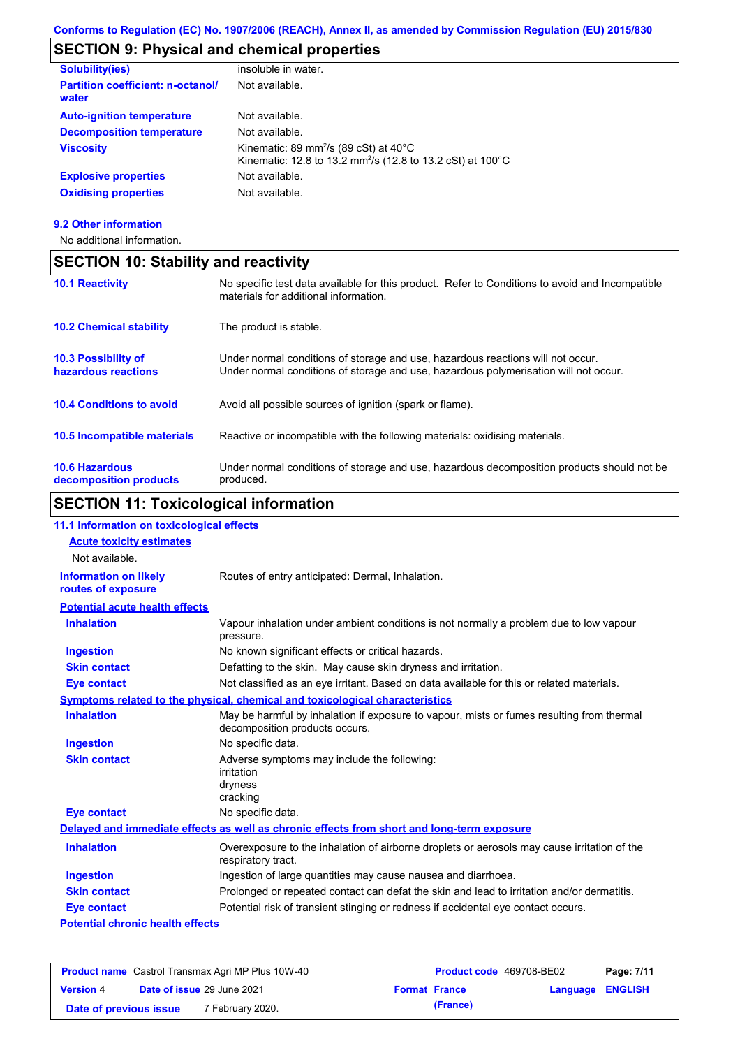### **SECTION 9: Physical and chemical properties**

| <b>Solubility(ies)</b>                            | insoluble in water.                                                                                                                                |
|---------------------------------------------------|----------------------------------------------------------------------------------------------------------------------------------------------------|
| <b>Partition coefficient: n-octanol/</b><br>water | Not available.                                                                                                                                     |
| <b>Auto-ignition temperature</b>                  | Not available.                                                                                                                                     |
| <b>Decomposition temperature</b>                  | Not available.                                                                                                                                     |
| <b>Viscosity</b>                                  | Kinematic: 89 mm <sup>2</sup> /s (89 cSt) at $40^{\circ}$ C<br>Kinematic: 12.8 to 13.2 mm <sup>2</sup> /s (12.8 to 13.2 cSt) at 100 <sup>°</sup> C |
| <b>Explosive properties</b>                       | Not available.                                                                                                                                     |
| <b>Oxidising properties</b>                       | Not available.                                                                                                                                     |

**9.2 Other information**

No additional information.

## **10.4 Conditions to avoid** Avoid all possible sources of ignition (spark or flame). **10.2 Chemical stability** The product is stable. **10.5 Incompatible materials 10.3 Possibility of hazardous reactions** Under normal conditions of storage and use, hazardous reactions will not occur. Under normal conditions of storage and use, hazardous polymerisation will not occur. **SECTION 10: Stability and reactivity 10.1 Reactivity** No specific test data available for this product. Refer to Conditions to avoid and Incompatible materials for additional information. Reactive or incompatible with the following materials: oxidising materials.

**10.6 Hazardous decomposition products** Under normal conditions of storage and use, hazardous decomposition products should not be produced.

### **SECTION 11: Toxicological information**

#### **Potential chronic health effects Potential acute health effects Inhalation** Vapour inhalation under ambient conditions is not normally a problem due to low vapour pressure. **Ingestion** No known significant effects or critical hazards. **Skin contact** Defatting to the skin. May cause skin dryness and irritation. **Eye contact** Not classified as an eye irritant. Based on data available for this or related materials. **Symptoms related to the physical, chemical and toxicological characteristics Skin contact Ingestion Inhalation** May be harmful by inhalation if exposure to vapour, mists or fumes resulting from thermal decomposition products occurs. No specific data. Adverse symptoms may include the following: irritation dryness cracking **Eye contact** No specific data. Routes of entry anticipated: Dermal, Inhalation. **11.1 Information on toxicological effects Information on likely routes of exposure Delayed and immediate effects as well as chronic effects from short and long-term exposure Inhalation Ingestion Skin contact Eye contact** Overexposure to the inhalation of airborne droplets or aerosols may cause irritation of the respiratory tract. Ingestion of large quantities may cause nausea and diarrhoea. Prolonged or repeated contact can defat the skin and lead to irritation and/or dermatitis. Potential risk of transient stinging or redness if accidental eye contact occurs. **Acute toxicity estimates** Not available.

| <b>Product name</b> Castrol Transmax Agri MP Plus 10W-40 |  | <b>Product code</b> 469708-BE02   |  | Page: 7/11           |                  |  |
|----------------------------------------------------------|--|-----------------------------------|--|----------------------|------------------|--|
| <b>Version 4</b>                                         |  | <b>Date of issue 29 June 2021</b> |  | <b>Format France</b> | Language ENGLISH |  |
| Date of previous issue                                   |  | 7 February 2020.                  |  | (France)             |                  |  |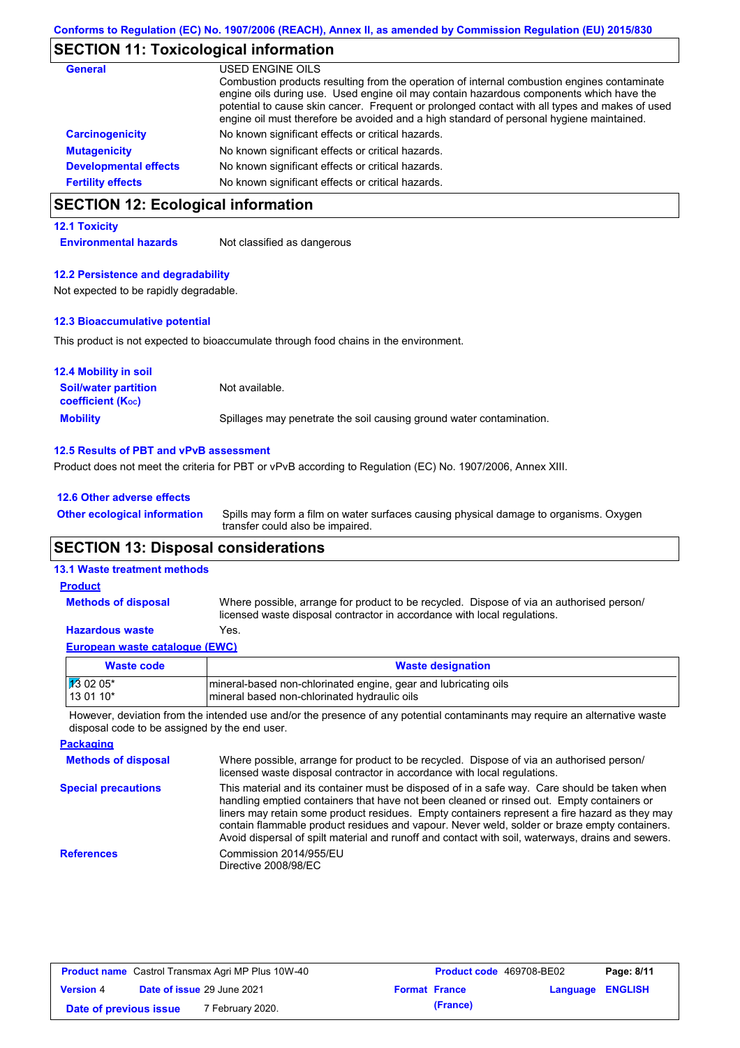## **SECTION 11: Toxicological information**

| <b>General</b>               | USED ENGINE OILS                                                                                                                                                                                                                                                                                                                                                                     |
|------------------------------|--------------------------------------------------------------------------------------------------------------------------------------------------------------------------------------------------------------------------------------------------------------------------------------------------------------------------------------------------------------------------------------|
|                              | Combustion products resulting from the operation of internal combustion engines contaminate<br>engine oils during use. Used engine oil may contain hazardous components which have the<br>potential to cause skin cancer. Frequent or prolonged contact with all types and makes of used<br>engine oil must therefore be avoided and a high standard of personal hygiene maintained. |
| <b>Carcinogenicity</b>       | No known significant effects or critical hazards.                                                                                                                                                                                                                                                                                                                                    |
| <b>Mutagenicity</b>          | No known significant effects or critical hazards.                                                                                                                                                                                                                                                                                                                                    |
| <b>Developmental effects</b> | No known significant effects or critical hazards.                                                                                                                                                                                                                                                                                                                                    |
| <b>Fertility effects</b>     | No known significant effects or critical hazards.                                                                                                                                                                                                                                                                                                                                    |

### **SECTION 12: Ecological information**

#### **12.1 Toxicity**

**Environmental hazards** Not classified as dangerous

#### **12.2 Persistence and degradability**

Not expected to be rapidly degradable.

#### **12.3 Bioaccumulative potential**

This product is not expected to bioaccumulate through food chains in the environment.

| <b>12.4 Mobility in soil</b>                            |                                                                      |
|---------------------------------------------------------|----------------------------------------------------------------------|
| <b>Soil/water partition</b><br><b>coefficient (Koc)</b> | Not available.                                                       |
| <b>Mobility</b>                                         | Spillages may penetrate the soil causing ground water contamination. |

#### **12.5 Results of PBT and vPvB assessment**

Product does not meet the criteria for PBT or vPvB according to Regulation (EC) No. 1907/2006, Annex XIII.

| 12.6 Other adverse effects          |                                                                                                                           |
|-------------------------------------|---------------------------------------------------------------------------------------------------------------------------|
| <b>Other ecological information</b> | Spills may form a film on water surfaces causing physical damage to organisms. Oxygen<br>transfer could also be impaired. |
|                                     |                                                                                                                           |

### **SECTION 13: Disposal considerations**

#### **13.1 Waste treatment methods**

| <b>Product</b>             |                                                                                                                                                                      |
|----------------------------|----------------------------------------------------------------------------------------------------------------------------------------------------------------------|
| <b>Methods of disposal</b> | Where possible, arrange for product to be recycled. Dispose of via an authorised person/<br>licensed waste disposal contractor in accordance with local regulations. |

#### **European waste catalogue (EWC) Hazardous waste** Yes.

| Waste code           | <b>Waste designation</b>                                         |
|----------------------|------------------------------------------------------------------|
| $\frac{1}{3}$ 02 05* | Imineral-based non-chlorinated engine, gear and lubricating oils |
| $130110*$            | mineral based non-chlorinated hydraulic oils                     |

However, deviation from the intended use and/or the presence of any potential contaminants may require an alternative waste disposal code to be assigned by the end user.

| <b>Packaging</b>           |                                                                                                                                                                                                                                                                                                                                                                                                                                                                                                 |
|----------------------------|-------------------------------------------------------------------------------------------------------------------------------------------------------------------------------------------------------------------------------------------------------------------------------------------------------------------------------------------------------------------------------------------------------------------------------------------------------------------------------------------------|
| <b>Methods of disposal</b> | Where possible, arrange for product to be recycled. Dispose of via an authorised person/<br>licensed waste disposal contractor in accordance with local regulations.                                                                                                                                                                                                                                                                                                                            |
| <b>Special precautions</b> | This material and its container must be disposed of in a safe way. Care should be taken when<br>handling emptied containers that have not been cleaned or rinsed out. Empty containers or<br>liners may retain some product residues. Empty containers represent a fire hazard as they may<br>contain flammable product residues and vapour. Never weld, solder or braze empty containers.<br>Avoid dispersal of spilt material and runoff and contact with soil, waterways, drains and sewers. |
| <b>References</b>          | Commission 2014/955/EU<br>Directive 2008/98/EC                                                                                                                                                                                                                                                                                                                                                                                                                                                  |

| <b>Product name</b> Castrol Transmax Agri MP Plus 10W-40 |                                   |                  | <b>Product code</b> 469708-BE02 |                      | Page: 8/11       |  |
|----------------------------------------------------------|-----------------------------------|------------------|---------------------------------|----------------------|------------------|--|
| <b>Version 4</b>                                         | <b>Date of issue 29 June 2021</b> |                  |                                 | <b>Format France</b> | Language ENGLISH |  |
| Date of previous issue                                   |                                   | 7 February 2020. |                                 | (France)             |                  |  |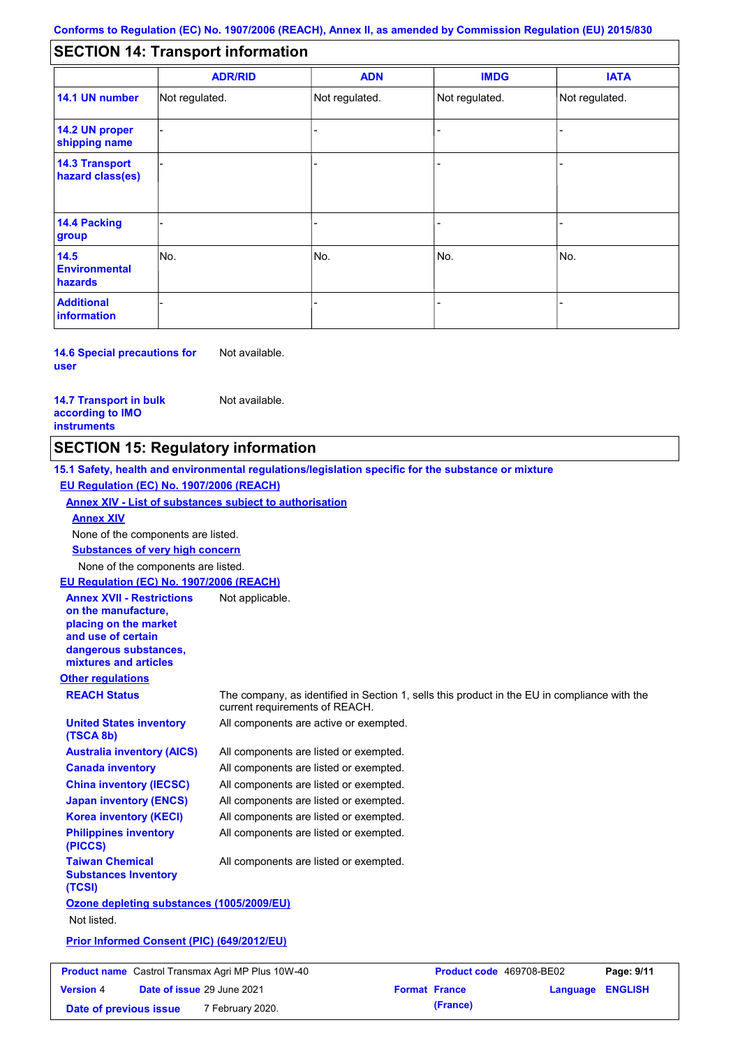#### - - - - - - - - - Not regulated. Not regulated. Not regulated. - - - **SECTION 14: Transport information ADR/RID IMDG IATA 14.1 UN number 14.2 UN proper shipping name 14.3 Transport hazard class(es) 14.4 Packing group ADN Additional information 14.5 Environmental hazards** No. 1980 | No. 1980 | No. 1980 | No. 1980 | No. 1980 | No. 1980 | No. 1980 | No. 1980 | No. 1980 | No. 1980 | Not regulated. - -<br>No. - -

**14.6 Special precautions for user** Not available.

**14.7 Transport in bulk according to IMO instruments**

**Version** 4

Not available.

### **SECTION 15: Regulatory information**

**Other regulations REACH Status** The company, as identified in Section 1, sells this product in the EU in compliance with the current requirements of REACH. **15.1 Safety, health and environmental regulations/legislation specific for the substance or mixture EU Regulation (EC) No. 1907/2006 (REACH) Annex XIV - List of substances subject to authorisation Substances of very high concern** None of the components are listed. All components are listed or exempted. All components are listed or exempted. All components are listed or exempted. All components are listed or exempted. All components are active or exempted. All components are listed or exempted. All components are listed or exempted. **United States inventory (TSCA 8b) Australia inventory (AICS) Canada inventory China inventory (IECSC) Japan inventory (ENCS) Korea inventory (KECI) Philippines inventory (PICCS) Taiwan Chemical Substances Inventory (TCSI)** All components are listed or exempted. **Ozone depleting substances (1005/2009/EU)** Not listed. **Prior Informed Consent (PIC) (649/2012/EU)** None of the components are listed. **Annex XIV EU Regulation (EC) No. 1907/2006 (REACH) Annex XVII - Restrictions on the manufacture, placing on the market and use of certain dangerous substances, mixtures and articles** Not applicable. **Product name** Castrol Transmax Agri MP Plus 10W-40 **Product code** 469708-BE02 **Page: 9/11** 

**Date of issue** 29 June 2021 **Format France Language ENGLISH**

**Date of previous issue (France)** 7 February 2020.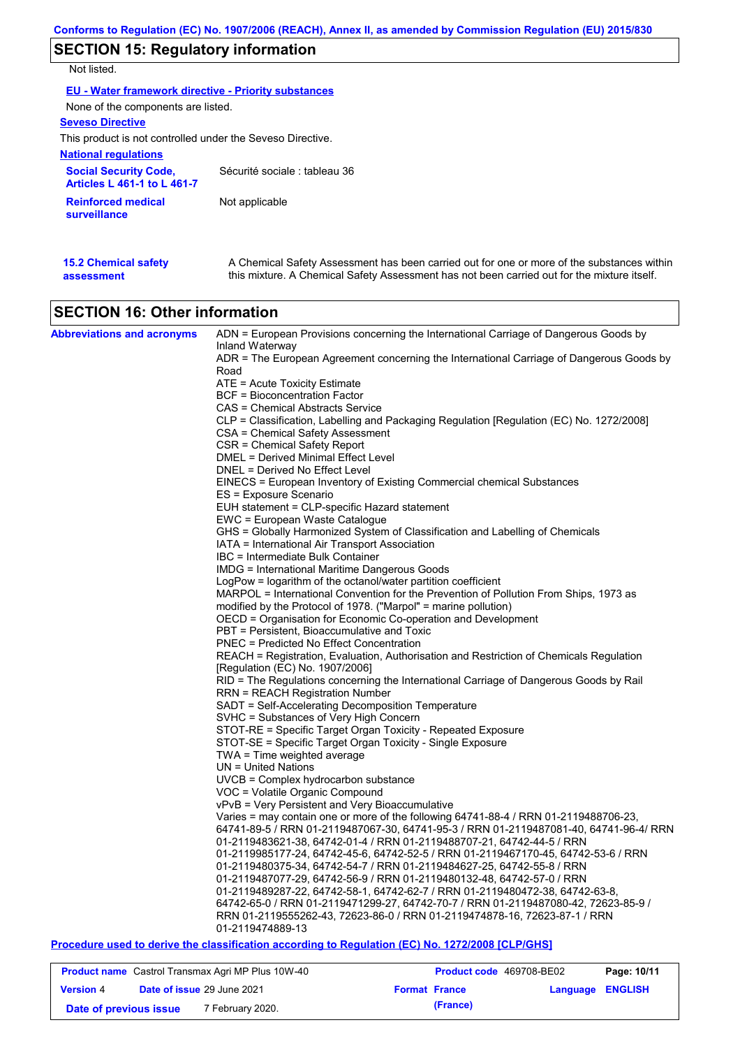## **SECTION 15: Regulatory information**

Not listed.

| EU - Water framework directive - Priority substances               |                               |  |  |  |  |
|--------------------------------------------------------------------|-------------------------------|--|--|--|--|
| None of the components are listed.                                 |                               |  |  |  |  |
| <b>Seveso Directive</b>                                            |                               |  |  |  |  |
| This product is not controlled under the Seveso Directive.         |                               |  |  |  |  |
| <b>National regulations</b>                                        |                               |  |  |  |  |
| <b>Social Security Code,</b><br><b>Articles L 461-1 to L 461-7</b> | Sécurité sociale : tableau 36 |  |  |  |  |
| <b>Reinforced medical</b><br>surveillance                          | Not applicable                |  |  |  |  |

| <b>15.2 Chemical safety</b> | A Chemical Safety Assessment has been carried out for one or more of the substances within  |
|-----------------------------|---------------------------------------------------------------------------------------------|
| assessment                  | this mixture. A Chemical Safety Assessment has not been carried out for the mixture itself. |

## **SECTION 16: Other information**

| <b>Abbreviations and acronyms</b> | ADN = European Provisions concerning the International Carriage of Dangerous Goods by                                                                                         |
|-----------------------------------|-------------------------------------------------------------------------------------------------------------------------------------------------------------------------------|
|                                   | Inland Waterway<br>ADR = The European Agreement concerning the International Carriage of Dangerous Goods by                                                                   |
|                                   | Road                                                                                                                                                                          |
|                                   | ATE = Acute Toxicity Estimate                                                                                                                                                 |
|                                   | BCF = Bioconcentration Factor                                                                                                                                                 |
|                                   | CAS = Chemical Abstracts Service                                                                                                                                              |
|                                   | CLP = Classification, Labelling and Packaging Regulation [Regulation (EC) No. 1272/2008]                                                                                      |
|                                   | CSA = Chemical Safety Assessment                                                                                                                                              |
|                                   | CSR = Chemical Safety Report                                                                                                                                                  |
|                                   | DMEL = Derived Minimal Effect Level                                                                                                                                           |
|                                   | DNEL = Derived No Effect Level                                                                                                                                                |
|                                   | EINECS = European Inventory of Existing Commercial chemical Substances<br>ES = Exposure Scenario                                                                              |
|                                   | EUH statement = CLP-specific Hazard statement                                                                                                                                 |
|                                   | EWC = European Waste Catalogue                                                                                                                                                |
|                                   | GHS = Globally Harmonized System of Classification and Labelling of Chemicals                                                                                                 |
|                                   | IATA = International Air Transport Association                                                                                                                                |
|                                   | IBC = Intermediate Bulk Container                                                                                                                                             |
|                                   | IMDG = International Maritime Dangerous Goods                                                                                                                                 |
|                                   | LogPow = logarithm of the octanol/water partition coefficient                                                                                                                 |
|                                   | MARPOL = International Convention for the Prevention of Pollution From Ships, 1973 as                                                                                         |
|                                   | modified by the Protocol of 1978. ("Marpol" = marine pollution)                                                                                                               |
|                                   | OECD = Organisation for Economic Co-operation and Development                                                                                                                 |
|                                   | PBT = Persistent, Bioaccumulative and Toxic                                                                                                                                   |
|                                   | <b>PNEC = Predicted No Effect Concentration</b>                                                                                                                               |
|                                   | REACH = Registration, Evaluation, Authorisation and Restriction of Chemicals Regulation<br>[Regulation (EC) No. 1907/2006]                                                    |
|                                   | RID = The Regulations concerning the International Carriage of Dangerous Goods by Rail                                                                                        |
|                                   | RRN = REACH Registration Number                                                                                                                                               |
|                                   | SADT = Self-Accelerating Decomposition Temperature                                                                                                                            |
|                                   | SVHC = Substances of Very High Concern                                                                                                                                        |
|                                   | STOT-RE = Specific Target Organ Toxicity - Repeated Exposure                                                                                                                  |
|                                   | STOT-SE = Specific Target Organ Toxicity - Single Exposure                                                                                                                    |
|                                   | TWA = Time weighted average                                                                                                                                                   |
|                                   | $UN = United Nations$                                                                                                                                                         |
|                                   | $UVCB = Complex\;hydrocarbon\; substance$                                                                                                                                     |
|                                   | VOC = Volatile Organic Compound                                                                                                                                               |
|                                   | vPvB = Very Persistent and Very Bioaccumulative                                                                                                                               |
|                                   | Varies = may contain one or more of the following 64741-88-4 / RRN 01-2119488706-23,<br>64741-89-5 / RRN 01-2119487067-30, 64741-95-3 / RRN 01-2119487081-40, 64741-96-4/ RRN |
|                                   | 01-2119483621-38, 64742-01-4 / RRN 01-2119488707-21, 64742-44-5 / RRN                                                                                                         |
|                                   | 01-2119985177-24, 64742-45-6, 64742-52-5 / RRN 01-2119467170-45, 64742-53-6 / RRN                                                                                             |
|                                   | 01-2119480375-34, 64742-54-7 / RRN 01-2119484627-25, 64742-55-8 / RRN                                                                                                         |
|                                   | 01-2119487077-29, 64742-56-9 / RRN 01-2119480132-48, 64742-57-0 / RRN                                                                                                         |
|                                   | 01-2119489287-22, 64742-58-1, 64742-62-7 / RRN 01-2119480472-38, 64742-63-8,                                                                                                  |
|                                   | 64742-65-0 / RRN 01-2119471299-27, 64742-70-7 / RRN 01-2119487080-42, 72623-85-9 /                                                                                            |
|                                   | RRN 01-2119555262-43, 72623-86-0 / RRN 01-2119474878-16, 72623-87-1 / RRN                                                                                                     |
|                                   | 01-2119474889-13                                                                                                                                                              |
|                                   | callization according to Beautation (FO) No. 4070/0000 IOLD/OU01                                                                                                              |

**Procedure used to derive the classification according to Regulation (EC) No. 1272/2008 [CLP/GHS]**

| <b>Product name</b> Castrol Transmax Agri MP Plus 10W-40 |                                   |                  | Product code 469708-BE02 |                      | Page: 10/11             |  |
|----------------------------------------------------------|-----------------------------------|------------------|--------------------------|----------------------|-------------------------|--|
| <b>Version 4</b>                                         | <b>Date of issue 29 June 2021</b> |                  |                          | <b>Format France</b> | <b>Language ENGLISH</b> |  |
| Date of previous issue                                   |                                   | 7 February 2020. |                          | (France)             |                         |  |